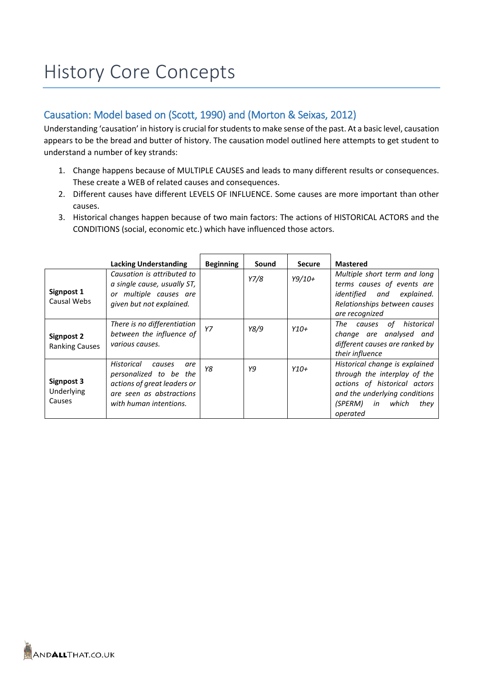# History Core Concepts

## Causation: Model based on (Scott, 1990) and (Morton & Seixas, 2012)

Understanding 'causation' in history is crucial for students to make sense of the past. At a basic level, causation appears to be the bread and butter of history. The causation model outlined here attempts to get student to understand a number of key strands:

- 1. Change happens because of MULTIPLE CAUSES and leads to many different results or consequences. These create a WEB of related causes and consequences.
- 2. Different causes have different LEVELS OF INFLUENCE. Some causes are more important than other causes.
- 3. Historical changes happen because of two main factors: The actions of HISTORICAL ACTORS and the CONDITIONS (social, economic etc.) which have influenced those actors.

|                                     | <b>Lacking Understanding</b>                                                                                                               | <b>Beginning</b> | Sound | <b>Secure</b> | <b>Mastered</b>                                                                                                                                                               |
|-------------------------------------|--------------------------------------------------------------------------------------------------------------------------------------------|------------------|-------|---------------|-------------------------------------------------------------------------------------------------------------------------------------------------------------------------------|
| Signpost 1                          | Causation is attributed to<br>a single cause, usually ST,<br>or multiple causes are                                                        |                  | Y7/8  | $Y9/10+$      | Multiple short term and long<br>terms causes of events are<br>identified and explained.                                                                                       |
| Causal Webs                         | given but not explained.                                                                                                                   |                  |       |               | Relationships between causes<br>are recognized                                                                                                                                |
| Signpost 2<br><b>Ranking Causes</b> | There is no differentiation<br>between the influence of<br>various causes.                                                                 | Y7               | Y8/9  | $Y10+$        | historical<br>The<br>of<br>causes<br>change are analysed and<br>different causes are ranked by<br>their influence                                                             |
| Signpost 3<br>Underlying<br>Causes  | Historical<br>causes<br>are<br>personalized to be the<br>actions of great leaders or<br>are seen as abstractions<br>with human intentions. | Y8               | Υ9    | $Y10+$        | Historical change is explained<br>through the interplay of the<br>actions of historical actors<br>and the underlying conditions<br>(SPERM)<br>in<br>which<br>they<br>operated |

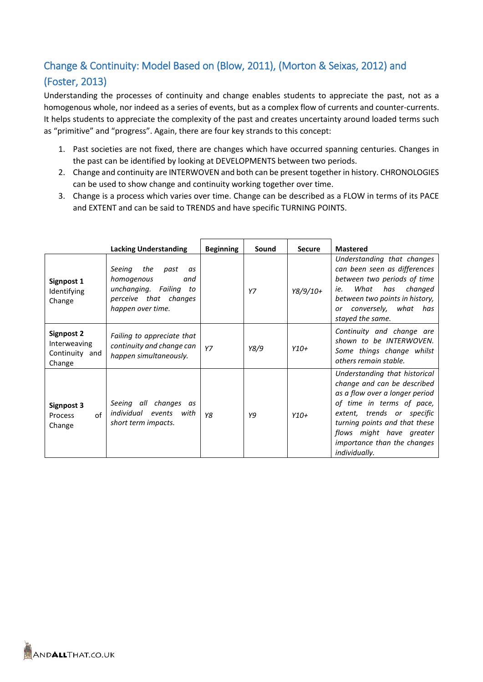# Change & Continuity: Model Based on (Blow, 2011), (Morton & Seixas, 2012) and (Foster, 2013)

Understanding the processes of continuity and change enables students to appreciate the past, not as a homogenous whole, nor indeed as a series of events, but as a complex flow of currents and counter-currents. It helps students to appreciate the complexity of the past and creates uncertainty around loaded terms such as "primitive" and "progress". Again, there are four key strands to this concept:

- 1. Past societies are not fixed, there are changes which have occurred spanning centuries. Changes in the past can be identified by looking at DEVELOPMENTS between two periods.
- 2. Change and continuity are INTERWOVEN and both can be present together in history. CHRONOLOGIES can be used to show change and continuity working together over time.
- 3. Change is a process which varies over time. Change can be described as a FLOW in terms of its PACE and EXTENT and can be said to TRENDS and have specific TURNING POINTS.

|                                                               | <b>Lacking Understanding</b>                                                                                                | <b>Beginning</b> | Sound | <b>Secure</b> | <b>Mastered</b>                                                                                                                                                                                                                                                        |
|---------------------------------------------------------------|-----------------------------------------------------------------------------------------------------------------------------|------------------|-------|---------------|------------------------------------------------------------------------------------------------------------------------------------------------------------------------------------------------------------------------------------------------------------------------|
| Signpost 1<br>Identifying<br>Change                           | Seeing<br>the<br>past<br>as<br>homogenous<br>and<br>unchanging. Failing<br>to<br>perceive that changes<br>happen over time. |                  | Y7    | $Y8/9/10+$    | Understanding that changes<br>can been seen as differences<br>between two periods of time<br>What<br>has<br>changed<br>ie.<br>between two points in history,<br>or conversely, what has<br>stayed the same.                                                            |
| <b>Signpost 2</b><br>Interweaving<br>Continuity and<br>Change | Failing to appreciate that<br>continuity and change can<br>happen simultaneously.                                           | Y7               | Y8/9  | $Y10+$        | Continuity and change are<br>shown to be INTERWOVEN.<br>Some things change whilst<br>others remain stable.                                                                                                                                                             |
| Signpost 3<br>of<br>Process<br>Change                         | changes<br>Seeing all<br>as<br>individual<br>events<br>with<br>short term impacts.                                          | Y8               | Y9    | $Y10+$        | Understanding that historical<br>change and can be described<br>as a flow over a longer period<br>of time in terms of pace,<br>extent, trends or specific<br>turning points and that these<br>flows might have greater<br>importance than the changes<br>individually. |

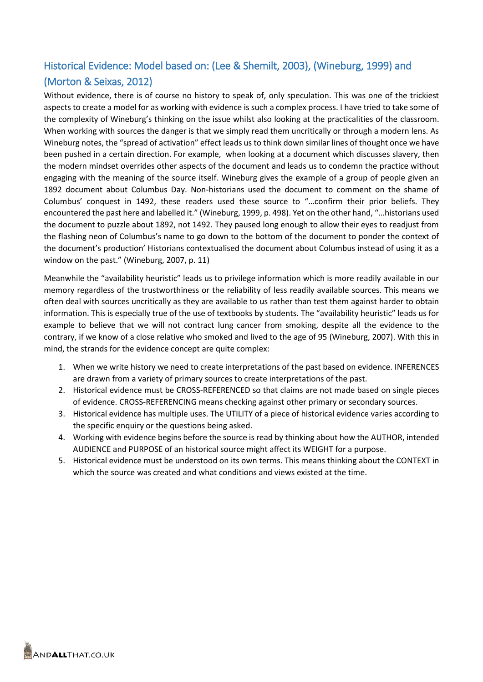## Historical Evidence: Model based on: (Lee & Shemilt, 2003), (Wineburg, 1999) and (Morton & Seixas, 2012)

Without evidence, there is of course no history to speak of, only speculation. This was one of the trickiest aspects to create a model for as working with evidence is such a complex process. I have tried to take some of the complexity of Wineburg's thinking on the issue whilst also looking at the practicalities of the classroom. When working with sources the danger is that we simply read them uncritically or through a modern lens. As Wineburg notes, the "spread of activation" effect leads us to think down similar lines of thought once we have been pushed in a certain direction. For example, when looking at a document which discusses slavery, then the modern mindset overrides other aspects of the document and leads us to condemn the practice without engaging with the meaning of the source itself. Wineburg gives the example of a group of people given an 1892 document about Columbus Day. Non-historians used the document to comment on the shame of Columbus' conquest in 1492, these readers used these source to "…confirm their prior beliefs. They encountered the past here and labelled it." (Wineburg, 1999, p. 498). Yet on the other hand, "…historians used the document to puzzle about 1892, not 1492. They paused long enough to allow their eyes to readjust from the flashing neon of Columbus's name to go down to the bottom of the document to ponder the context of the document's production' Historians contextualised the document about Columbus instead of using it as a window on the past." (Wineburg, 2007, p. 11)

Meanwhile the "availability heuristic" leads us to privilege information which is more readily available in our memory regardless of the trustworthiness or the reliability of less readily available sources. This means we often deal with sources uncritically as they are available to us rather than test them against harder to obtain information. This is especially true of the use of textbooks by students. The "availability heuristic" leads us for example to believe that we will not contract lung cancer from smoking, despite all the evidence to the contrary, if we know of a close relative who smoked and lived to the age of 95 (Wineburg, 2007). With this in mind, the strands for the evidence concept are quite complex:

- 1. When we write history we need to create interpretations of the past based on evidence. INFERENCES are drawn from a variety of primary sources to create interpretations of the past.
- 2. Historical evidence must be CROSS-REFERENCED so that claims are not made based on single pieces of evidence. CROSS-REFERENCING means checking against other primary or secondary sources.
- 3. Historical evidence has multiple uses. The UTILITY of a piece of historical evidence varies according to the specific enquiry or the questions being asked.
- 4. Working with evidence begins before the source is read by thinking about how the AUTHOR, intended AUDIENCE and PURPOSE of an historical source might affect its WEIGHT for a purpose.
- 5. Historical evidence must be understood on its own terms. This means thinking about the CONTEXT in which the source was created and what conditions and views existed at the time.

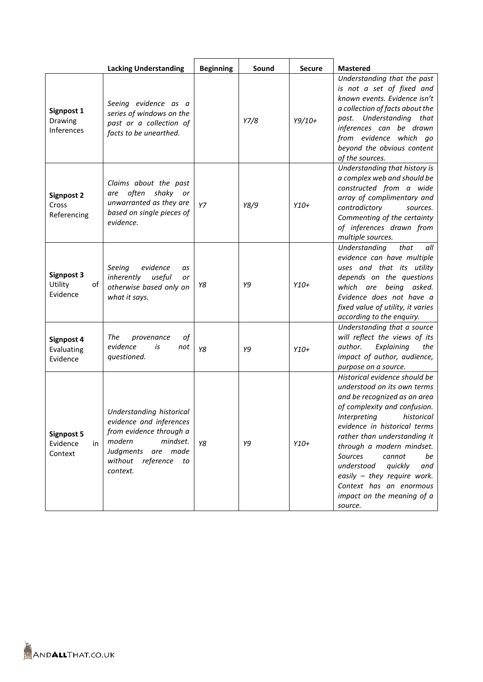|                                                | <b>Lacking Understanding</b>                                                                                                                                   | <b>Beginning</b> | Sound | <b>Secure</b> | <b>Mastered</b>                                                                                                                                                                                                                                                                                                                                                                                                       |
|------------------------------------------------|----------------------------------------------------------------------------------------------------------------------------------------------------------------|------------------|-------|---------------|-----------------------------------------------------------------------------------------------------------------------------------------------------------------------------------------------------------------------------------------------------------------------------------------------------------------------------------------------------------------------------------------------------------------------|
| Signpost 1<br>Drawing<br>Inferences            | Seeing evidence as a<br>series of windows on the<br>past or a collection of<br>facts to be unearthed.                                                          |                  | Y7/8  | $Y9/10+$      | Understanding that the past<br>is not a set of fixed and<br>known events. Evidence isn't<br>a collection of facts about the<br>past. Understanding that<br>inferences can be drawn<br>from evidence which go<br>beyond the obvious content<br>of the sources.                                                                                                                                                         |
| Signpost 2<br>Cross<br>Referencing             | Claims about the past<br>are often shaky or<br>unwarranted as they are<br>based on single pieces of<br>evidence.                                               | Y7               | Y8/9  | $Y10+$        | Understanding that history is<br>a complex web and should be<br>constructed from a wide<br>array of complimentary and<br>contradictory<br>sources.<br>Commenting of the certainty<br>of inferences drawn from<br>multiple sources.                                                                                                                                                                                    |
| Signpost 3<br>Utility<br>of<br>Evidence        | Seeing<br>evidence<br>as<br>inherently<br>useful<br>or<br>otherwise based only on<br>what it says.                                                             | Υ8               | Y9    | $Y10+$        | that<br>Understanding<br>all<br>evidence can have multiple<br>uses and that its utility<br>depends on the questions<br>which are being asked.<br>Evidence does not have a<br>fixed value of utility, it varies<br>according to the enquiry.                                                                                                                                                                           |
| Signpost 4<br>Evaluating<br>Evidence           | The<br>οf<br>provenance<br>evidence<br>is<br>not<br>questioned.                                                                                                | Y8               | Y9    | $Y10+$        | Understanding that a source<br>will reflect the views of its<br>author.<br>Explaining<br>the<br>impact of author, audience,<br>purpose on a source.                                                                                                                                                                                                                                                                   |
| <b>Signpost 5</b><br>Evidence<br>in<br>Context | Understanding historical<br>evidence and inferences<br>from evidence through a<br>modern<br>mindset.<br>Judgments are made<br>without reference to<br>context. | Y8               | Y9    | $Y10+$        | Historical evidence should be<br>understood on its own terms<br>and be recognized as an area<br>of complexity and confusion.<br>Interpreting<br>historical<br>evidence in historical terms<br>rather than understanding it<br>through a modern mindset.<br>Sources<br>cannot<br>be<br>understood<br>quickly<br>and<br>easily - they require work.<br>Context has an enormous<br>impact on the meaning of a<br>source. |

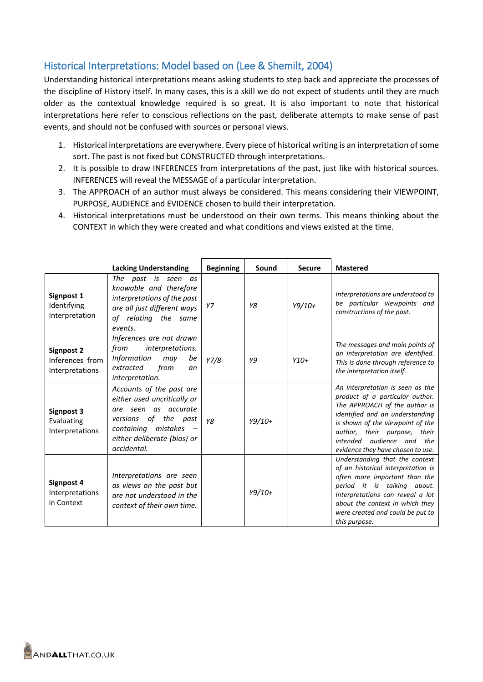## Historical Interpretations: Model based on (Lee & Shemilt, 2004)

Understanding historical interpretations means asking students to step back and appreciate the processes of the discipline of History itself. In many cases, this is a skill we do not expect of students until they are much older as the contextual knowledge required is so great. It is also important to note that historical interpretations here refer to conscious reflections on the past, deliberate attempts to make sense of past events, and should not be confused with sources or personal views.

- 1. Historical interpretations are everywhere. Every piece of historical writing is an interpretation of some sort. The past is not fixed but CONSTRUCTED through interpretations.
- 2. It is possible to draw INFERENCES from interpretations of the past, just like with historical sources. INFERENCES will reveal the MESSAGE of a particular interpretation.
- 3. The APPROACH of an author must always be considered. This means considering their VIEWPOINT, PURPOSE, AUDIENCE and EVIDENCE chosen to build their interpretation.
- 4. Historical interpretations must be understood on their own terms. This means thinking about the CONTEXT in which they were created and what conditions and views existed at the time.

|                                                         | <b>Lacking Understanding</b>                                                                                                                                                 | <b>Beginning</b> | Sound    | <b>Secure</b> | <b>Mastered</b>                                                                                                                                                                                                                                                                  |
|---------------------------------------------------------|------------------------------------------------------------------------------------------------------------------------------------------------------------------------------|------------------|----------|---------------|----------------------------------------------------------------------------------------------------------------------------------------------------------------------------------------------------------------------------------------------------------------------------------|
| Signpost 1<br>Identifying<br>Interpretation             | The past is seen as<br>knowable and therefore<br>interpretations of the past<br>are all just different ways<br>of relating the same<br>events.                               | Y7               | Y8       | $Y9/10+$      | Interpretations are understood to<br>be particular viewpoints and<br>constructions of the past.                                                                                                                                                                                  |
| <b>Signpost 2</b><br>Inferences from<br>Interpretations | Inferences are not drawn<br>from<br>interpretations.<br>Information<br>be<br>may<br>from<br>extracted<br>an<br>interpretation.                                               | Y7/8             | Y9       | $Y10+$        | The messages and main points of<br>an interpretation are identified.<br>This is done through reference to<br>the interpretation itself.                                                                                                                                          |
| Signpost 3<br>Evaluating<br>Interpretations             | Accounts of the past are<br>either used uncritically or<br>are seen as accurate<br>versions of the past<br>containing mistakes<br>either deliberate (bias) or<br>accidental. | Y8               | $Y9/10+$ |               | An interpretation is seen as the<br>product of a particular author.<br>The APPROACH of the author is<br>identified and an understanding<br>is shown of the viewpoint of the<br>author, their purpose,<br>their<br>intended audience and the<br>evidence they have chosen to use. |
| Signpost 4<br>Interpretations<br>in Context             | Interpretations are seen<br>as views on the past but<br>are not understood in the<br>context of their own time.                                                              |                  | $Y9/10+$ |               | Understanding that the context<br>of an historical interpretation is<br>often more important than the<br>period it is talking about.<br>Interpretations can reveal a lot<br>about the context in which they<br>were created and could be put to<br>this purpose.                 |

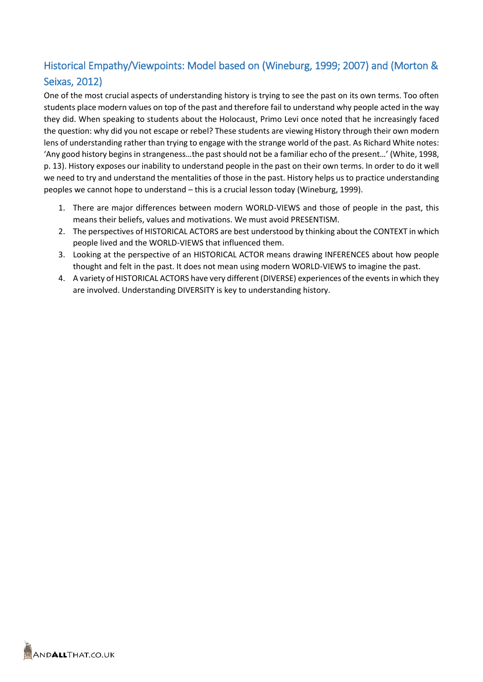# Historical Empathy/Viewpoints: Model based on (Wineburg, 1999; 2007) and (Morton & Seixas, 2012)

One of the most crucial aspects of understanding history is trying to see the past on its own terms. Too often students place modern values on top of the past and therefore fail to understand why people acted in the way they did. When speaking to students about the Holocaust, Primo Levi once noted that he increasingly faced the question: why did you not escape or rebel? These students are viewing History through their own modern lens of understanding rather than trying to engage with the strange world of the past. As Richard White notes: 'Any good history begins in strangeness…the past should not be a familiar echo of the present…' (White, 1998, p. 13). History exposes our inability to understand people in the past on their own terms. In order to do it well we need to try and understand the mentalities of those in the past. History helps us to practice understanding peoples we cannot hope to understand – this is a crucial lesson today (Wineburg, 1999).

- 1. There are major differences between modern WORLD-VIEWS and those of people in the past, this means their beliefs, values and motivations. We must avoid PRESENTISM.
- 2. The perspectives of HISTORICAL ACTORS are best understood by thinking about the CONTEXT in which people lived and the WORLD-VIEWS that influenced them.
- 3. Looking at the perspective of an HISTORICAL ACTOR means drawing INFERENCES about how people thought and felt in the past. It does not mean using modern WORLD-VIEWS to imagine the past.
- 4. A variety of HISTORICAL ACTORS have very different (DIVERSE) experiences of the events in which they are involved. Understanding DIVERSITY is key to understanding history.

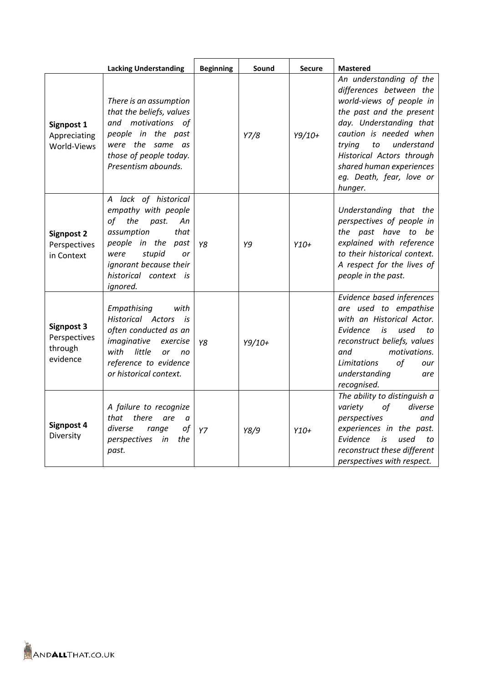|                                                          | <b>Lacking Understanding</b>                                                                                                                                                                                  | <b>Beginning</b> | Sound    | <b>Secure</b> | <b>Mastered</b>                                                                                                                                                                                                                                                                               |
|----------------------------------------------------------|---------------------------------------------------------------------------------------------------------------------------------------------------------------------------------------------------------------|------------------|----------|---------------|-----------------------------------------------------------------------------------------------------------------------------------------------------------------------------------------------------------------------------------------------------------------------------------------------|
| Signpost 1<br>Appreciating<br>World-Views                | There is an assumption<br>that the beliefs, values<br>and motivations of<br>people in the past<br>were the same as<br>those of people today.<br>Presentism abounds.                                           |                  | Y7/8     | $Y9/10+$      | An understanding of the<br>differences between the<br>world-views of people in<br>the past and the present<br>day. Understanding that<br>caution is needed when<br>understand<br>trying<br>to<br>Historical Actors through<br>shared human experiences<br>eg. Death, fear, love or<br>hunger. |
| <b>Signpost 2</b><br>Perspectives<br>in Context          | A lack of historical<br>empathy with people<br>the<br>of<br>past.<br>Аn<br>assumption<br>that<br>people in the<br>past<br>stupid<br>were<br>or<br>ignorant because their<br>historical context is<br>ignored. | Y8               | Y9       | $Y10+$        | Understanding that the<br>perspectives of people in<br>the past have to be<br>explained with reference<br>to their historical context.<br>A respect for the lives of<br>people in the past.                                                                                                   |
| <b>Signpost 3</b><br>Perspectives<br>through<br>evidence | Empathising<br>with<br>Historical Actors is<br>often conducted as an<br>imaginative<br>exercise<br>with<br>little<br><b>or</b><br>no<br>reference to evidence<br>or historical context.                       | Y8               | $Y9/10+$ |               | Evidence based inferences<br>are used to empathise<br>with an Historical Actor.<br>Evidence<br>used<br>is<br>to<br>reconstruct beliefs, values<br>motivations.<br>and<br>of<br>Limitations<br>our<br>understanding<br>are<br>recognised.                                                      |
| Signpost 4<br>Diversity                                  | A failure to recognize<br>that<br>there<br>are<br>a<br>diverse<br>of<br>range<br>perspectives<br>the<br>in<br>past.                                                                                           | YZ               | Y8/9     | $Y10+$        | The ability to distinguish a<br>of<br>diverse<br>variety<br>perspectives<br>and<br>experiences in the past.<br>Evidence<br>is<br>used<br>to<br>reconstruct these different<br>perspectives with respect.                                                                                      |